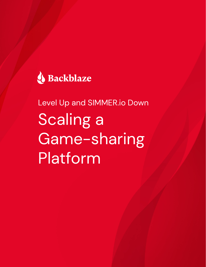

Level Up and SIMMER.io Down Scaling a Game-sharing **Platform**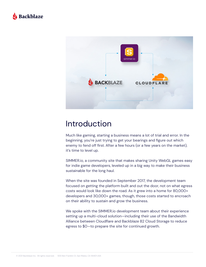



#### Introduction

Much like gaming, starting a business means a lot of trial and error. In the beginning, you're just trying to get your bearings and figure out which enemy to fend off first. After a few hours (or a few years on the market), it's time to level up.

SIMMER.io, a community site that makes sharing Unity WebGL games easy for indie game developers, leveled up in a big way to make their business sustainable for the long haul.

When the site was founded in September 2017, the development team focused on getting the platform built and out the door, not on what egress costs would look like down the road. As it grew into a home for 80,000+ developers and 30,000+ games, though, those costs started to encroach on their ability to sustain and grow the business.

We spoke with the SIMMER.io development team about their experience setting up a multi-cloud solution—including their use of the Bandwidth Alliance between Cloudflare and Backblaze B2 Cloud Storage to reduce egress to \$0—to prepare the site for continued growth.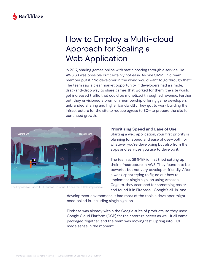

## How to Employ a Multi-cloud Approach for Scaling a Web Application

In 2017, sharing games online with static hosting through a service like AWS S3 was possible but certainly not easy. As one SIMMER.io team member put it, "No developer in the world would want to go through that." The team saw a clear market opportunity. If developers had a simple, drag-and-drop way to share games that worked for them, the site would get increased traffic that could be monetized through ad revenue. Further out, they envisioned a premium membership offering game developers unbranded sharing and higher bandwidth. They got to work building the infrastructure for the site.to reduce egress to \$0—to prepare the site for continued growth.



The Impossible Glide," E&T Studios. Trust us, it does feel a little impossible.

**Prioritizing Speed and Ease of Use**

Starting a web application, your first priority is planning for speed and ease of use—both for whatever you're developing but also from the apps and services you use to develop it.

The team at SIMMER.io first tried setting up their infrastructure in AWS. They found it to be powerful, but not very developer-friendly. After a week spent trying to figure out how to implement single sign-on using Amazon Cognito, they searched for something easier and found it in Firebase—Google's all-in-one

development environment. It had most of the tools a developer might need baked in, including single sign-on.

Firebase was already within the Google suite of products, so they used Google Cloud Platform (GCP) for their storage needs as well. It all came packaged together, and the team was moving fast. Opting into GCP made sense in the moment.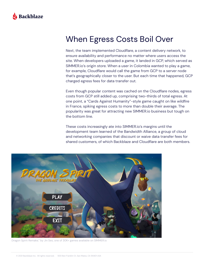

### When Egress Costs Boil Over

Next, the team implemented Cloudflare, a content delivery network, to ensure availability and performance no matter where users access the site. When developers uploaded a game, it landed in GCP, which served as SIMMER.io's origin store. When a user in Colombia wanted to play a game, for example, Cloudflare would call the game from GCP to a server node that's geographically closer to the user. But each time that happened, GCP charged egress fees for data transfer out.

Even though popular content was cached on the Cloudflare nodes, egress costs from GCP still added up, comprising two-thirds of total egress. At one point, a "Cards Against Humanity"-style game caught on like wildfire in France, spiking egress costs to more than double their average. The popularity was great for attracting new SIMMER.io business but tough on the bottom line.

These costs increasingly ate into SIMMER.io's margins until the development team learned of the Bandwidth Alliance, a group of cloud and networking companies that discount or waive data transfer fees for shared customers, of which Backblaze and Cloudflare are both members.



Dragon Spirit Remake," by Jin Seo, one of 30K+ games available on SIMMER.io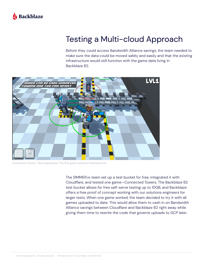

## Testing a Multi-cloud Approach

Before they could access Bandwidth Alliance savings, the team needed to make sure the data could be moved safely and easily and that the existing infrastructure would still function with the game data living in Backblaze B2.



Connected Towers," NanningsGames. The first game tested on Backblaze B2.

The SIMMER.io team set up a test bucket for free, integrated it with Cloudflare, and tested one game—Connected Towers. The Backblaze B2 test bucket allows for free self-serve testing up to 10GB, and Backblaze offers a free proof of concept working with our solutions engineers for larger tests. When one game worked, the team decided to try it with all games uploaded to date. This would allow them to cash in on Bandwidth Alliance savings between Cloudflare and Backblaze B2 right away while giving them time to rewrite the code that governs uploads to GCP later.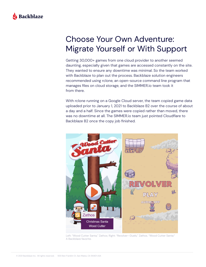

## Choose Your Own Adventure: Migrate Yourself or With Support

Getting 30,000+ games from one cloud provider to another seemed daunting, especially given that games are accessed constantly on the site. They wanted to ensure any downtime was minimal. So the team worked with Backblaze to plan out the process. Backblaze solution engineers recommended using rclone, an open-source command line program that manages files on cloud storage, and the SIMMER.io team took it from there.

With rclone running on a Google Cloud server, the team copied game data uploaded prior to January 1, 2021 to Backblaze B2 over the course of about a day and a half. Since the games were copied rather than moved, there was no downtime at all. The SIMMER.io team just pointed Cloudflare to Backblaze B2 once the copy job finished.



Left: "Wood Cutter Santa," Zathos; Right: "Revolver—Duels," Zathos. "Wood Cutter Santa:" A Backblaze favorite.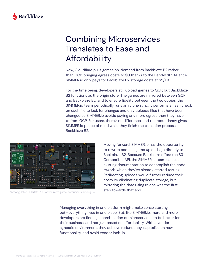

## Combining Microservices Translates to Ease and Affordability

Now, Cloudflare pulls games on-demand from Backblaze B2 rather than GCP, bringing egress costs to \$0 thanks to the Bandwidth Alliance. SIMMER.io only pays for Backblaze B2 storage costs at \$5/TB.

For the time being, developers still upload games to GCP, but Backblaze B2 functions as the origin store. The games are mirrored between GCP and Backblaze B2, and to ensure fidelity between the two copies, the SIMMER.io team periodically runs an rclone sync. It performs a hash check on each file to look for changes and only uploads files that have been changed so SIMMER.io avoids paying any more egress than they have to from GCP. For users, there's no difference, and the redundancy gives SIMMER.io peace of mind while they finish the transition process. Backblaze B2.



"AmongDots," RETRO2029. For the retro game enthusiasts among us.

Moving forward, SIMMER.io has the opportunity to rewrite code so game uploads go directly to Backblaze B2. Because Backblaze offers the S3 Compatible API, the SIMMER.io team can use existing documentation to accomplish the code rework, which they've already started testing. Redirecting uploads would further reduce their costs by eliminating duplicate storage, but mirroring the data using rclone was the first step towards that end.

Managing everything in one platform might make sense starting out—everything lives in one place. But, like SIMMER.io, more and more developers are finding a combination of microservices to be better for their business, and not just based on affordability. With a vendoragnostic environment, they achieve redundancy, capitalize on new functionality, and avoid vendor lock-in.